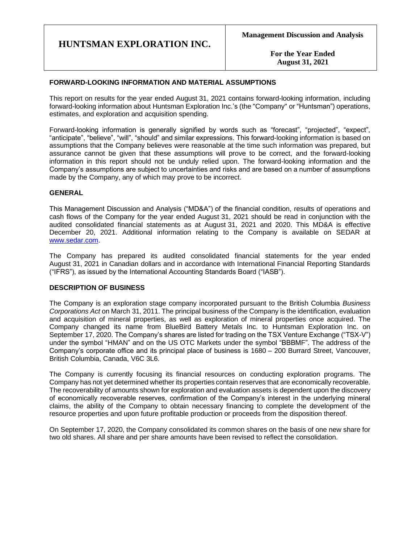**For the Year Ended August 31, 2021**

# **FORWARD-LOOKING INFORMATION AND MATERIAL ASSUMPTIONS**

This report on results for the year ended August 31, 2021 contains forward-looking information, including forward-looking information about Huntsman Exploration Inc.'s (the "Company" or "Huntsman") operations, estimates, and exploration and acquisition spending.

Forward-looking information is generally signified by words such as "forecast", "projected", "expect", "anticipate", "believe", "will", "should" and similar expressions. This forward-looking information is based on assumptions that the Company believes were reasonable at the time such information was prepared, but assurance cannot be given that these assumptions will prove to be correct, and the forward-looking information in this report should not be unduly relied upon. The forward-looking information and the Company's assumptions are subject to uncertainties and risks and are based on a number of assumptions made by the Company, any of which may prove to be incorrect.

### **GENERAL**

This Management Discussion and Analysis ("MD&A") of the financial condition, results of operations and cash flows of the Company for the year ended August 31, 2021 should be read in conjunction with the audited consolidated financial statements as at August 31, 2021 and 2020. This MD&A is effective December 20, 2021. Additional information relating to the Company is available on SEDAR at [www.sedar.com.](http://www.sedar.com/)

The Company has prepared its audited consolidated financial statements for the year ended August 31, 2021 in Canadian dollars and in accordance with International Financial Reporting Standards ("IFRS"), as issued by the International Accounting Standards Board ("IASB").

### **DESCRIPTION OF BUSINESS**

The Company is an exploration stage company incorporated pursuant to the British Columbia *Business Corporations Act* on March 31, 2011. The principal business of the Company is the identification, evaluation and acquisition of mineral properties, as well as exploration of mineral properties once acquired. The Company changed its name from BlueBird Battery Metals Inc. to Huntsman Exploration Inc. on September 17, 2020. The Company's shares are listed for trading on the TSX Venture Exchange ("TSX-V") under the symbol "HMAN" and on the US OTC Markets under the symbol "BBBMF". The address of the Company's corporate office and its principal place of business is 1680 – 200 Burrard Street, Vancouver, British Columbia, Canada, V6C 3L6.

The Company is currently focusing its financial resources on conducting exploration programs. The Company has not yet determined whether its properties contain reserves that are economically recoverable. The recoverability of amounts shown for exploration and evaluation assets is dependent upon the discovery of economically recoverable reserves, confirmation of the Company's interest in the underlying mineral claims, the ability of the Company to obtain necessary financing to complete the development of the resource properties and upon future profitable production or proceeds from the disposition thereof.

On September 17, 2020, the Company consolidated its common shares on the basis of one new share for two old shares. All share and per share amounts have been revised to reflect the consolidation.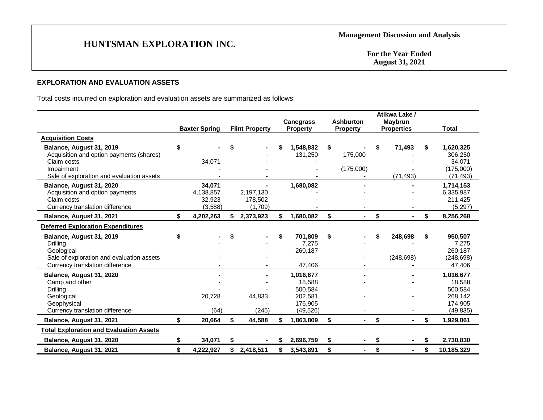**For the Year Ended August 31, 2021**

# **EXPLORATION AND EVALUATION ASSETS**

Total costs incurred on exploration and evaluation assets are summarized as follows:

|                                                                                                                                                | <b>Baxter Spring</b>                     |    | <b>Flint Property</b>           |    | <b>Canegrass</b><br><b>Property</b>                               | <b>Ashburton</b><br><b>Property</b> | Atikwa Lake /<br>Maybrun<br><b>Properties</b> |    | <b>Total</b>                                                      |
|------------------------------------------------------------------------------------------------------------------------------------------------|------------------------------------------|----|---------------------------------|----|-------------------------------------------------------------------|-------------------------------------|-----------------------------------------------|----|-------------------------------------------------------------------|
| <b>Acquisition Costs</b>                                                                                                                       |                                          |    |                                 |    |                                                                   |                                     |                                               |    |                                                                   |
| Balance, August 31, 2019<br>Acquisition and option payments (shares)<br>Claim costs<br>Impairment<br>Sale of exploration and evaluation assets | \$<br>34,071                             | S  |                                 |    | 1,548,832<br>131,250                                              | \$<br>175,000<br>(175,000)          | 71,493<br>(71, 493)                           | \$ | 1,620,325<br>306,250<br>34,071<br>(175,000)<br>(71, 493)          |
| Balance, August 31, 2020<br>Acquisition and option payments<br>Claim costs<br>Currency translation difference                                  | 34,071<br>4,138,857<br>32,923<br>(3,588) |    | 2,197,130<br>178,502<br>(1,709) |    | 1,680,082                                                         |                                     |                                               |    | 1,714,153<br>6,335,987<br>211,425<br>(5,297)                      |
| Balance, August 31, 2021                                                                                                                       | \$<br>4,202,263                          |    | 2,373,923                       |    | 1,680,082                                                         | \$<br>$\blacksquare$                | \$                                            | \$ | 8,256,268                                                         |
| <b>Deferred Exploration Expenditures</b>                                                                                                       |                                          |    |                                 |    |                                                                   |                                     |                                               |    |                                                                   |
| Balance, August 31, 2019<br>Drilling<br>Geological<br>Sale of exploration and evaluation assets<br>Currency translation difference             | \$                                       | S  |                                 | \$ | 701,809<br>7,275<br>260,187<br>47,406                             | \$                                  | 248,698<br>(248, 698)                         | \$ | 950,507<br>7,275<br>260,187<br>(248, 698)<br>47,406               |
| Balance, August 31, 2020<br>Camp and other<br><b>Drilling</b><br>Geological<br>Geophysical<br>Currency translation difference                  | 20,728<br>(64)                           |    | 44,833<br>(245)                 |    | 1,016,677<br>18,588<br>500,584<br>202,581<br>176,905<br>(49, 526) |                                     |                                               |    | 1,016,677<br>18,588<br>500,584<br>268,142<br>174,905<br>(49, 835) |
| Balance, August 31, 2021                                                                                                                       | \$<br>20,664                             | \$ | 44,588                          | S. | 1,863,809                                                         | \$                                  | \$                                            | \$ | 1,929,061                                                         |
| <b>Total Exploration and Evaluation Assets</b>                                                                                                 |                                          |    |                                 |    |                                                                   |                                     |                                               |    |                                                                   |
| Balance, August 31, 2020                                                                                                                       | \$<br>34,071                             | \$ |                                 | S  | 2,696,759                                                         | \$<br>۰                             | \$<br>٠                                       | S  | 2,730,830                                                         |
| Balance, August 31, 2021                                                                                                                       | \$<br>4,222,927                          | \$ | 2,418,511                       | \$ | 3,543,891                                                         | \$<br>$\blacksquare$                | \$<br>$\blacksquare$                          | \$ | 10,185,329                                                        |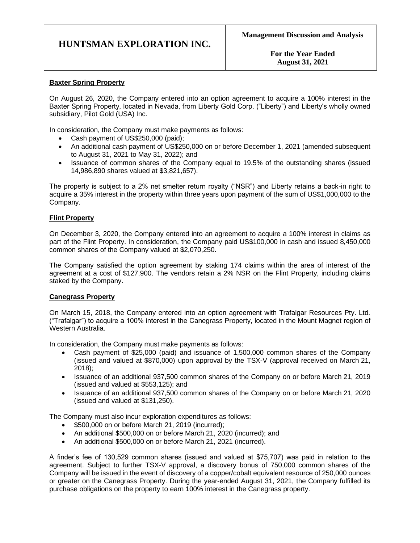**For the Year Ended August 31, 2021**

# **Baxter Spring Property**

On August 26, 2020, the Company entered into an option agreement to acquire a 100% interest in the Baxter Spring Property, located in Nevada, from Liberty Gold Corp. ("Liberty") and Liberty's wholly owned subsidiary, Pilot Gold (USA) Inc.

In consideration, the Company must make payments as follows:

- Cash payment of US\$250,000 (paid);
- An additional cash payment of US\$250,000 on or before December 1, 2021 (amended subsequent to August 31, 2021 to May 31, 2022); and
- Issuance of common shares of the Company equal to 19.5% of the outstanding shares (issued 14,986,890 shares valued at \$3,821,657).

The property is subject to a 2% net smelter return royalty ("NSR") and Liberty retains a back-in right to acquire a 35% interest in the property within three years upon payment of the sum of US\$1,000,000 to the Company.

# **Flint Property**

On December 3, 2020, the Company entered into an agreement to acquire a 100% interest in claims as part of the Flint Property. In consideration, the Company paid US\$100,000 in cash and issued 8,450,000 common shares of the Company valued at \$2,070,250.

The Company satisfied the option agreement by staking 174 claims within the area of interest of the agreement at a cost of \$127,900. The vendors retain a 2% NSR on the Flint Property, including claims staked by the Company.

### **Canegrass Property**

On March 15, 2018, the Company entered into an option agreement with Trafalgar Resources Pty. Ltd. ("Trafalgar") to acquire a 100% interest in the Canegrass Property, located in the Mount Magnet region of Western Australia.

In consideration, the Company must make payments as follows:

- Cash payment of \$25,000 (paid) and issuance of 1,500,000 common shares of the Company (issued and valued at \$870,000) upon approval by the TSX-V (approval received on March 21, 2018);
- Issuance of an additional 937,500 common shares of the Company on or before March 21, 2019 (issued and valued at \$553,125); and
- Issuance of an additional 937,500 common shares of the Company on or before March 21, 2020 (issued and valued at \$131,250).

The Company must also incur exploration expenditures as follows:

- \$500,000 on or before March 21, 2019 (incurred);
- An additional \$500,000 on or before March 21, 2020 (incurred); and
- An additional \$500,000 on or before March 21, 2021 (incurred).

A finder's fee of 130,529 common shares (issued and valued at \$75,707) was paid in relation to the agreement. Subject to further TSX-V approval, a discovery bonus of 750,000 common shares of the Company will be issued in the event of discovery of a copper/cobalt equivalent resource of 250,000 ounces or greater on the Canegrass Property. During the year-ended August 31, 2021, the Company fulfilled its purchase obligations on the property to earn 100% interest in the Canegrass property.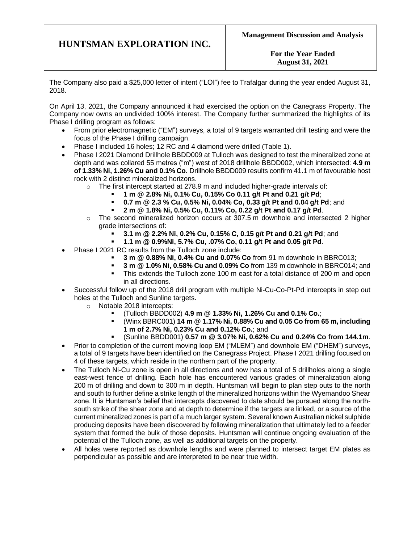**For the Year Ended August 31, 2021**

The Company also paid a \$25,000 letter of intent ("LOI") fee to Trafalgar during the year ended August 31, 2018.

On April 13, 2021, the Company announced it had exercised the option on the Canegrass Property. The Company now owns an undivided 100% interest. The Company further summarized the highlights of its Phase I drilling program as follows:

- From prior electromagnetic ("EM") surveys, a total of 9 targets warranted drill testing and were the focus of the Phase I drilling campaign.
- Phase I included 16 holes; 12 RC and 4 diamond were drilled (Table 1).
- Phase I 2021 Diamond Drillhole BBDD009 at Tulloch was designed to test the mineralized zone at depth and was collared 55 metres ("m") west of 2018 drillhole BBDD002, which intersected: **4.9 m of 1.33% Ni, 1.26% Cu and 0.1% Co.** Drillhole BBDD009 results confirm 41.1 m of favourable host rock with 2 distinct mineralized horizons.
	- $\circ$  The first intercept started at 278.9 m and included higher-grade intervals of:
		- **1 m @ 2.8% Ni, 0.1% Cu, 0.15% Co 0.11 g/t Pt and 0.21 g/t Pd**;
		- **0.7 m @ 2.3 % Cu, 0.5% Ni, 0.04% Co, 0.33 g/t Pt and 0.04 g/t Pd**; and
		- **2 m @ 1.8% Ni, 0.5% Cu, 0.11% Co, 0.22 g/t Pt and 0.17 g/t Pd**.
	- $\circ$  The second mineralized horizon occurs at 307.5 m downhole and intersected 2 higher grade intersections of:
		- **3.1 m @ 2.2% Ni, 0.2% Cu, 0.15% C, 0.15 g/t Pt and 0.21 g/t Pd**; and
		- **1.1 m @ 0.9%Ni, 5.7% Cu, .07% Co, 0.11 g/t Pt and 0.05 g/t Pd**.
- Phase I 2021 RC results from the Tulloch zone include:
	- **3 m @ 0.88% Ni, 0.4% Cu and 0.07% Co** from 91 m downhole in BBRC013;
	- **3 m @ 1.0% Ni, 0.58% Cu and 0.09% Co** from 139 m downhole in BBRC014; and
	- This extends the Tulloch zone 100 m east for a total distance of 200 m and open in all directions.
- Successful follow up of the 2018 drill program with multiple Ni-Cu-Co-Pt-Pd intercepts in step out holes at the Tulloch and Sunline targets.
	- o Notable 2018 intercepts:
		- (Tulloch BBDD002) **4.9 m @ 1.33% Ni, 1.26% Cu and 0.1% Co.**;
		- (Winx BBRC001) **14 m @ 1.17% Ni, 0.88% Cu and 0.05 Co from 65 m, including 1 m of 2.7% Ni, 0.23% Cu and 0.12% Co.**; and
		- (Sunline BBDD001) **0.57 m @ 3.07% Ni, 0.62% Cu and 0.24% Co from 144.1m**.
- Prior to completion of the current moving loop EM ("MLEM") and downhole EM ("DHEM") surveys, a total of 9 targets have been identified on the Canegrass Project. Phase I 2021 drilling focused on 4 of these targets, which reside in the northern part of the property.
- The Tulloch Ni-Cu zone is open in all directions and now has a total of 5 drillholes along a single east-west fence of drilling. Each hole has encountered various grades of mineralization along 200 m of drilling and down to 300 m in depth. Huntsman will begin to plan step outs to the north and south to further define a strike length of the mineralized horizons within the Wyemandoo Shear zone. It is Huntsman's belief that intercepts discovered to date should be pursued along the northsouth strike of the shear zone and at depth to determine if the targets are linked, or a source of the current mineralized zones is part of a much larger system. Several known Australian nickel sulphide producing deposits have been discovered by following mineralization that ultimately led to a feeder system that formed the bulk of those deposits. Huntsman will continue ongoing evaluation of the potential of the Tulloch zone, as well as additional targets on the property.
- All holes were reported as downhole lengths and were planned to intersect target EM plates as perpendicular as possible and are interpreted to be near true width.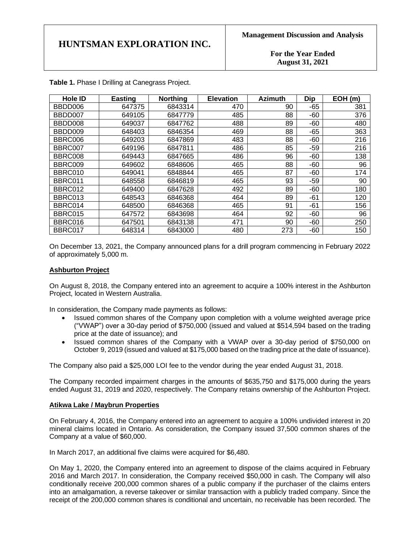**For the Year Ended August 31, 2021**

| <b>Hole ID</b> | <b>Easting</b> | <b>Northing</b> | <b>Elevation</b> | <b>Azimuth</b> | <b>Dip</b> | EOH(m) |
|----------------|----------------|-----------------|------------------|----------------|------------|--------|
| BBDD006        | 647375         | 6843314         | 470              | 90             | -65        | 381    |
| BBDD007        | 649105         | 6847779         | 485              | 88             | -60        | 376    |
| BBDD008        | 649037         | 6847762         | 488              | 89             | $-60$      | 480    |
| BBDD009        | 648403         | 6846354         | 469              | 88             | $-65$      | 363    |
| BBRC006        | 649203         | 6847869         | 483              | 88             | $-60$      | 216    |
| BBRC007        | 649196         | 6847811         | 486              | 85             | $-59$      | 216    |
| BBRC008        | 649443         | 6847665         | 486              | 96             | $-60$      | 138    |
| BBRC009        | 649602         | 6848606         | 465              | 88             | -60        | 96     |
| BBRC010        | 649041         | 6848844         | 465              | 87             | $-60$      | 174    |
| BBRC011        | 648558         | 6846819         | 465              | 93             | $-59$      | 90     |
| BBRC012        | 649400         | 6847628         | 492              | 89             | -60        | 180    |
| BBRC013        | 648543         | 6846368         | 464              | 89             | -61        | 120    |
| BBRC014        | 648500         | 6846368         | 465              | 91             | -61        | 156    |
| BBRC015        | 647572         | 6843698         | 464              | 92             | $-60$      | 96     |
| BBRC016        | 647501         | 6843138         | 471              | 90             | $-60$      | 250    |
| BBRC017        | 648314         | 6843000         | 480              | 273            | $-60$      | 150    |

**Table 1.** Phase I Drilling at Canegrass Project.

On December 13, 2021, the Company announced plans for a drill program commencing in February 2022 of approximately 5,000 m.

#### **Ashburton Project**

On August 8, 2018, the Company entered into an agreement to acquire a 100% interest in the Ashburton Project, located in Western Australia.

In consideration, the Company made payments as follows:

- Issued common shares of the Company upon completion with a volume weighted average price ("VWAP") over a 30-day period of \$750,000 (issued and valued at \$514,594 based on the trading price at the date of issuance); and
- Issued common shares of the Company with a VWAP over a 30-day period of \$750,000 on October 9, 2019 (issued and valued at \$175,000 based on the trading price at the date of issuance).

The Company also paid a \$25,000 LOI fee to the vendor during the year ended August 31, 2018.

The Company recorded impairment charges in the amounts of \$635,750 and \$175,000 during the years ended August 31, 2019 and 2020, respectively. The Company retains ownership of the Ashburton Project.

#### **Atikwa Lake / Maybrun Properties**

On February 4, 2016, the Company entered into an agreement to acquire a 100% undivided interest in 20 mineral claims located in Ontario. As consideration, the Company issued 37,500 common shares of the Company at a value of \$60,000.

In March 2017, an additional five claims were acquired for \$6,480.

On May 1, 2020, the Company entered into an agreement to dispose of the claims acquired in February 2016 and March 2017. In consideration, the Company received \$50,000 in cash. The Company will also conditionally receive 200,000 common shares of a public company if the purchaser of the claims enters into an amalgamation, a reverse takeover or similar transaction with a publicly traded company. Since the receipt of the 200,000 common shares is conditional and uncertain, no receivable has been recorded. The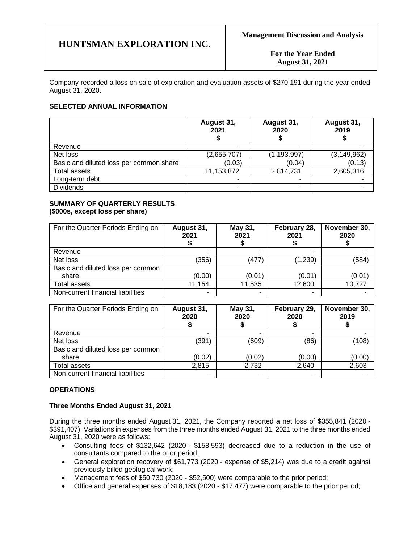**For the Year Ended August 31, 2021**

Company recorded a loss on sale of exploration and evaluation assets of \$270,191 during the year ended August 31, 2020.

# **SELECTED ANNUAL INFORMATION**

|                                         | August 31,<br>2021       | August 31,<br>2020 | August 31,<br>2019 |
|-----------------------------------------|--------------------------|--------------------|--------------------|
| Revenue                                 | $\overline{\phantom{0}}$ |                    |                    |
| Net loss                                | (2,655,707)              | (1, 193, 997)      | (3, 149, 962)      |
| Basic and diluted loss per common share | (0.03)                   | (0.04)             | (0.13)             |
| Total assets                            | 11,153,872               | 2,814,731          | 2,605,316          |
| Long-term debt                          |                          |                    |                    |
| <b>Dividends</b>                        |                          |                    |                    |

#### **SUMMARY OF QUARTERLY RESULTS (\$000s, except loss per share)**

| For the Quarter Periods Ending on | August 31,<br>2021 | May 31,<br>2021 | February 28,<br>2021 | November 30,<br>2020 |
|-----------------------------------|--------------------|-----------------|----------------------|----------------------|
| Revenue                           |                    |                 |                      |                      |
| Net loss                          | (356)              | (477)           | (1, 239)             | (584)                |
| Basic and diluted loss per common |                    |                 |                      |                      |
| share                             | (0.00)             | (0.01)          | (0.01)               | (0.01)               |
| <b>Total assets</b>               | 11,154             | 11,535          | 12,600               | 10,727               |
| Non-current financial liabilities | -                  |                 |                      |                      |

| For the Quarter Periods Ending on | August 31,<br>2020 | May 31,<br>2020 | February 29,<br>2020 | November 30,<br>2019 |
|-----------------------------------|--------------------|-----------------|----------------------|----------------------|
| Revenue                           | ۰                  | -               |                      |                      |
| Net loss                          | (391)              | (609)           | (86)                 | (108)                |
| Basic and diluted loss per common |                    |                 |                      |                      |
| share                             | (0.02)             | (0.02)          | (0.00)               | (0.00)               |
| Total assets                      | 2,815              | 2,732           | 2,640                | 2,603                |
| Non-current financial liabilities | ۰                  | ۰               | ۰                    |                      |

# **OPERATIONS**

# **Three Months Ended August 31, 2021**

During the three months ended August 31, 2021, the Company reported a net loss of \$355,841 (2020 - \$391,407). Variations in expenses from the three months ended August 31, 2021 to the three months ended August 31, 2020 were as follows:

- Consulting fees of \$132,642 (2020 \$158,593) decreased due to a reduction in the use of consultants compared to the prior period;
- General exploration recovery of \$61,773 (2020 expense of \$5,214) was due to a credit against previously billed geological work;
- Management fees of \$50,730 (2020 \$52,500) were comparable to the prior period;
- Office and general expenses of \$18,183 (2020 \$17,477) were comparable to the prior period;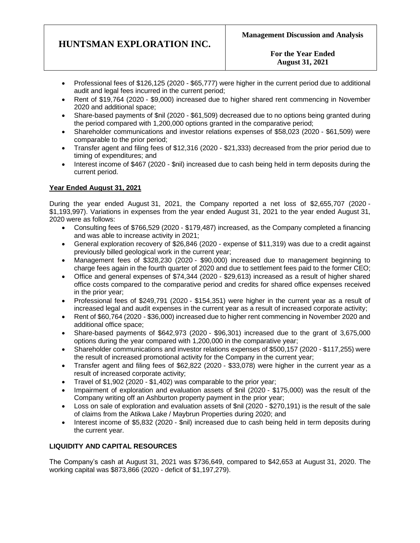# **For the Year Ended August 31, 2021**

- Professional fees of \$126,125 (2020 \$65,777) were higher in the current period due to additional audit and legal fees incurred in the current period;
- Rent of \$19,764 (2020 \$9,000) increased due to higher shared rent commencing in November 2020 and additional space;
- Share-based payments of \$nil (2020 \$61,509) decreased due to no options being granted during the period compared with 1,200,000 options granted in the comparative period;
- Shareholder communications and investor relations expenses of \$58,023 (2020 \$61,509) were comparable to the prior period;
- Transfer agent and filing fees of \$12,316 (2020 \$21,333) decreased from the prior period due to timing of expenditures; and
- Interest income of \$467 (2020 \$nil) increased due to cash being held in term deposits during the current period.

# **Year Ended August 31, 2021**

During the year ended August 31, 2021, the Company reported a net loss of \$2,655,707 (2020 - \$1,193,997). Variations in expenses from the year ended August 31, 2021 to the year ended August 31, 2020 were as follows:

- Consulting fees of \$766,529 (2020 \$179,487) increased, as the Company completed a financing and was able to increase activity in 2021;
- General exploration recovery of \$26,846 (2020 expense of \$11,319) was due to a credit against previously billed geological work in the current year;
- Management fees of \$328,230 (2020 \$90,000) increased due to management beginning to charge fees again in the fourth quarter of 2020 and due to settlement fees paid to the former CEO;
- Office and general expenses of \$74,344 (2020 \$29,613) increased as a result of higher shared office costs compared to the comparative period and credits for shared office expenses received in the prior year;
- Professional fees of \$249,791 (2020 \$154,351) were higher in the current year as a result of increased legal and audit expenses in the current year as a result of increased corporate activity;
- Rent of \$60,764 (2020 \$36,000) increased due to higher rent commencing in November 2020 and additional office space;
- Share-based payments of \$642,973 (2020 \$96,301) increased due to the grant of 3,675,000 options during the year compared with 1,200,000 in the comparative year;
- Shareholder communications and investor relations expenses of \$500,157 (2020 \$117,255) were the result of increased promotional activity for the Company in the current year;
- Transfer agent and filing fees of \$62,822 (2020 \$33,078) were higher in the current year as a result of increased corporate activity;
- Travel of \$1,902 (2020 \$1,402) was comparable to the prior year;
- Impairment of exploration and evaluation assets of \$nil (2020 \$175,000) was the result of the Company writing off an Ashburton property payment in the prior year;
- Loss on sale of exploration and evaluation assets of \$nil (2020 \$270,191) is the result of the sale of claims from the Atikwa Lake / Maybrun Properties during 2020; and
- Interest income of \$5,832 (2020 \$nil) increased due to cash being held in term deposits during the current year.

# **LIQUIDITY AND CAPITAL RESOURCES**

The Company's cash at August 31, 2021 was \$736,649, compared to \$42,653 at August 31, 2020. The working capital was \$873,866 (2020 - deficit of \$1,197,279).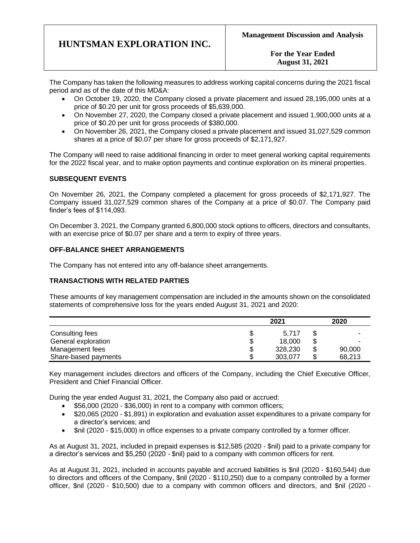**For the Year Ended August 31, 2021**

The Company has taken the following measures to address working capital concerns during the 2021 fiscal period and as of the date of this MD&A:

- On October 19, 2020, the Company closed a private placement and issued 28,195,000 units at a price of \$0.20 per unit for gross proceeds of \$5,639,000.
- On November 27, 2020, the Company closed a private placement and issued 1,900,000 units at a price of \$0.20 per unit for gross proceeds of \$380,000.
- On November 26, 2021, the Company closed a private placement and issued 31,027,529 common shares at a price of \$0.07 per share for gross proceeds of \$2,171,927.

The Company will need to raise additional financing in order to meet general working capital requirements for the 2022 fiscal year, and to make option payments and continue exploration on its mineral properties.

# **SUBSEQUENT EVENTS**

On November 26, 2021, the Company completed a placement for gross proceeds of \$2,171,927. The Company issued 31,027,529 common shares of the Company at a price of \$0.07. The Company paid finder's fees of \$114,093.

On December 3, 2021, the Company granted 6,800,000 stock options to officers, directors and consultants, with an exercise price of \$0.07 per share and a term to expiry of three years.

# **OFF-BALANCE SHEET ARRANGEMENTS**

The Company has not entered into any off-balance sheet arrangements.

### **TRANSACTIONS WITH RELATED PARTIES**

These amounts of key management compensation are included in the amounts shown on the consolidated statements of comprehensive loss for the years ended August 31, 2021 and 2020:

|                      | 2021    |     | 2020   |
|----------------------|---------|-----|--------|
| Consulting fees      | 5.717   | S   |        |
| General exploration  | 18,000  | \$  |        |
| Management fees      | 328,230 | \$  | 90,000 |
| Share-based payments | 303.077 | \$. | 68.213 |

Key management includes directors and officers of the Company, including the Chief Executive Officer, President and Chief Financial Officer.

During the year ended August 31, 2021, the Company also paid or accrued:

- \$56,000 (2020 \$36,000) in rent to a company with common officers;
- \$20,065 (2020 \$1,891) in exploration and evaluation asset expenditures to a private company for a director's services; and
- \$nil (2020 \$15,000) in office expenses to a private company controlled by a former officer.

As at August 31, 2021, included in prepaid expenses is \$12,585 (2020 - \$nil) paid to a private company for a director's services and \$5,250 (2020 - \$nil) paid to a company with common officers for rent.

As at August 31, 2021, included in accounts payable and accrued liabilities is \$nil (2020 - \$160,544) due to directors and officers of the Company, \$nil (2020 - \$110,250) due to a company controlled by a former officer, \$nil (2020 - \$10,500) due to a company with common officers and directors, and \$nil (2020 -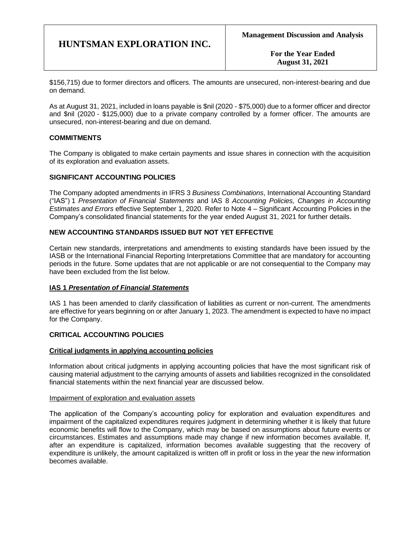**For the Year Ended August 31, 2021**

\$156,715) due to former directors and officers. The amounts are unsecured, non-interest-bearing and due on demand.

As at August 31, 2021, included in loans payable is \$nil (2020 - \$75,000) due to a former officer and director and \$nil (2020 - \$125,000) due to a private company controlled by a former officer. The amounts are unsecured, non-interest-bearing and due on demand.

# **COMMITMENTS**

The Company is obligated to make certain payments and issue shares in connection with the acquisition of its exploration and evaluation assets.

# **SIGNIFICANT ACCOUNTING POLICIES**

The Company adopted amendments in IFRS 3 *Business Combinations*, International Accounting Standard ("IAS") 1 *Presentation of Financial Statements* and IAS 8 *Accounting Policies, Changes in Accounting Estimates and Errors* effective September 1, 2020. Refer to Note 4 – Significant Accounting Policies in the Company's consolidated financial statements for the year ended August 31, 2021 for further details.

# **NEW ACCOUNTING STANDARDS ISSUED BUT NOT YET EFFECTIVE**

Certain new standards, interpretations and amendments to existing standards have been issued by the IASB or the International Financial Reporting Interpretations Committee that are mandatory for accounting periods in the future. Some updates that are not applicable or are not consequential to the Company may have been excluded from the list below.

### **IAS 1** *Presentation of Financial Statements*

IAS 1 has been amended to clarify classification of liabilities as current or non-current. The amendments are effective for years beginning on or after January 1, 2023. The amendment is expected to have no impact for the Company.

### **CRITICAL ACCOUNTING POLICIES**

### **Critical judgments in applying accounting policies**

Information about critical judgments in applying accounting policies that have the most significant risk of causing material adjustment to the carrying amounts of assets and liabilities recognized in the consolidated financial statements within the next financial year are discussed below.

### Impairment of exploration and evaluation assets

The application of the Company's accounting policy for exploration and evaluation expenditures and impairment of the capitalized expenditures requires judgment in determining whether it is likely that future economic benefits will flow to the Company, which may be based on assumptions about future events or circumstances. Estimates and assumptions made may change if new information becomes available. If, after an expenditure is capitalized, information becomes available suggesting that the recovery of expenditure is unlikely, the amount capitalized is written off in profit or loss in the year the new information becomes available.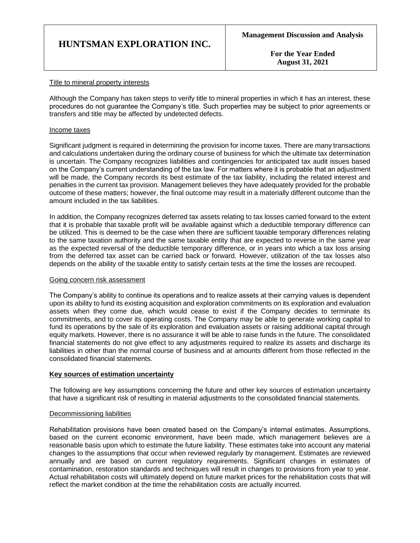**For the Year Ended August 31, 2021**

### Title to mineral property interests

Although the Company has taken steps to verify title to mineral properties in which it has an interest, these procedures do not guarantee the Company's title. Such properties may be subject to prior agreements or transfers and title may be affected by undetected defects.

#### Income taxes

Significant judgment is required in determining the provision for income taxes. There are many transactions and calculations undertaken during the ordinary course of business for which the ultimate tax determination is uncertain. The Company recognizes liabilities and contingencies for anticipated tax audit issues based on the Company's current understanding of the tax law. For matters where it is probable that an adjustment will be made, the Company records its best estimate of the tax liability, including the related interest and penalties in the current tax provision. Management believes they have adequately provided for the probable outcome of these matters; however, the final outcome may result in a materially different outcome than the amount included in the tax liabilities.

In addition, the Company recognizes deferred tax assets relating to tax losses carried forward to the extent that it is probable that taxable profit will be available against which a deductible temporary difference can be utilized. This is deemed to be the case when there are sufficient taxable temporary differences relating to the same taxation authority and the same taxable entity that are expected to reverse in the same year as the expected reversal of the deductible temporary difference, or in years into which a tax loss arising from the deferred tax asset can be carried back or forward. However, utilization of the tax losses also depends on the ability of the taxable entity to satisfy certain tests at the time the losses are recouped.

### Going concern risk assessment

The Company's ability to continue its operations and to realize assets at their carrying values is dependent upon its ability to fund its existing acquisition and exploration commitments on its exploration and evaluation assets when they come due, which would cease to exist if the Company decides to terminate its commitments, and to cover its operating costs. The Company may be able to generate working capital to fund its operations by the sale of its exploration and evaluation assets or raising additional capital through equity markets. However, there is no assurance it will be able to raise funds in the future. The consolidated financial statements do not give effect to any adjustments required to realize its assets and discharge its liabilities in other than the normal course of business and at amounts different from those reflected in the consolidated financial statements.

### **Key sources of estimation uncertainty**

The following are key assumptions concerning the future and other key sources of estimation uncertainty that have a significant risk of resulting in material adjustments to the consolidated financial statements.

### Decommissioning liabilities

Rehabilitation provisions have been created based on the Company's internal estimates. Assumptions, based on the current economic environment, have been made, which management believes are a reasonable basis upon which to estimate the future liability. These estimates take into account any material changes to the assumptions that occur when reviewed regularly by management. Estimates are reviewed annually and are based on current regulatory requirements. Significant changes in estimates of contamination, restoration standards and techniques will result in changes to provisions from year to year. Actual rehabilitation costs will ultimately depend on future market prices for the rehabilitation costs that will reflect the market condition at the time the rehabilitation costs are actually incurred.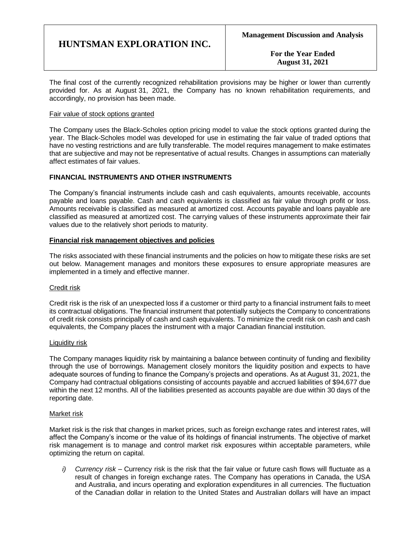**For the Year Ended August 31, 2021**

The final cost of the currently recognized rehabilitation provisions may be higher or lower than currently provided for. As at August 31, 2021, the Company has no known rehabilitation requirements, and accordingly, no provision has been made.

#### Fair value of stock options granted

The Company uses the Black-Scholes option pricing model to value the stock options granted during the year. The Black-Scholes model was developed for use in estimating the fair value of traded options that have no vesting restrictions and are fully transferable. The model requires management to make estimates that are subjective and may not be representative of actual results. Changes in assumptions can materially affect estimates of fair values.

# **FINANCIAL INSTRUMENTS AND OTHER INSTRUMENTS**

The Company's financial instruments include cash and cash equivalents, amounts receivable, accounts payable and loans payable. Cash and cash equivalents is classified as fair value through profit or loss. Amounts receivable is classified as measured at amortized cost. Accounts payable and loans payable are classified as measured at amortized cost. The carrying values of these instruments approximate their fair values due to the relatively short periods to maturity.

### **Financial risk management objectives and policies**

The risks associated with these financial instruments and the policies on how to mitigate these risks are set out below. Management manages and monitors these exposures to ensure appropriate measures are implemented in a timely and effective manner.

### Credit risk

Credit risk is the risk of an unexpected loss if a customer or third party to a financial instrument fails to meet its contractual obligations. The financial instrument that potentially subjects the Company to concentrations of credit risk consists principally of cash and cash equivalents. To minimize the credit risk on cash and cash equivalents, the Company places the instrument with a major Canadian financial institution.

### Liquidity risk

The Company manages liquidity risk by maintaining a balance between continuity of funding and flexibility through the use of borrowings. Management closely monitors the liquidity position and expects to have adequate sources of funding to finance the Company's projects and operations. As at August 31, 2021, the Company had contractual obligations consisting of accounts payable and accrued liabilities of \$94,677 due within the next 12 months. All of the liabilities presented as accounts payable are due within 30 days of the reporting date.

### Market risk

Market risk is the risk that changes in market prices, such as foreign exchange rates and interest rates, will affect the Company's income or the value of its holdings of financial instruments. The objective of market risk management is to manage and control market risk exposures within acceptable parameters, while optimizing the return on capital.

*i) Currency risk –* Currency risk is the risk that the fair value or future cash flows will fluctuate as a result of changes in foreign exchange rates. The Company has operations in Canada, the USA and Australia, and incurs operating and exploration expenditures in all currencies. The fluctuation of the Canadian dollar in relation to the United States and Australian dollars will have an impact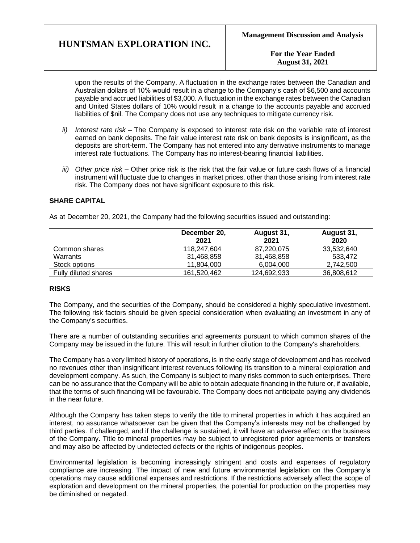**For the Year Ended August 31, 2021**

upon the results of the Company. A fluctuation in the exchange rates between the Canadian and Australian dollars of 10% would result in a change to the Company's cash of \$6,500 and accounts payable and accrued liabilities of \$3,000. A fluctuation in the exchange rates between the Canadian and United States dollars of 10% would result in a change to the accounts payable and accrued liabilities of \$nil. The Company does not use any techniques to mitigate currency risk.

- *ii) Interest rate risk –* The Company is exposed to interest rate risk on the variable rate of interest earned on bank deposits. The fair value interest rate risk on bank deposits is insignificant, as the deposits are short-term. The Company has not entered into any derivative instruments to manage interest rate fluctuations. The Company has no interest-bearing financial liabilities.
- *iii) Other price risk –* Other price risk is the risk that the fair value or future cash flows of a financial instrument will fluctuate due to changes in market prices, other than those arising from interest rate risk. The Company does not have significant exposure to this risk.

# **SHARE CAPITAL**

As at December 20, 2021, the Company had the following securities issued and outstanding:

|                      | December 20,<br>2021 | August 31,<br>2021 | August 31,<br>2020 |
|----------------------|----------------------|--------------------|--------------------|
| Common shares        | 118,247,604          | 87,220,075         | 33,532,640         |
| Warrants             | 31,468,858           | 31,468,858         | 533.472            |
| Stock options        | 11.804.000           | 6.004.000          | 2.742.500          |
| Fully diluted shares | 161.520.462          | 124.692.933        | 36,808,612         |

### **RISKS**

The Company, and the securities of the Company, should be considered a highly speculative investment. The following risk factors should be given special consideration when evaluating an investment in any of the Company's securities.

There are a number of outstanding securities and agreements pursuant to which common shares of the Company may be issued in the future. This will result in further dilution to the Company's shareholders.

The Company has a very limited history of operations, is in the early stage of development and has received no revenues other than insignificant interest revenues following its transition to a mineral exploration and development company. As such, the Company is subject to many risks common to such enterprises. There can be no assurance that the Company will be able to obtain adequate financing in the future or, if available, that the terms of such financing will be favourable. The Company does not anticipate paying any dividends in the near future.

Although the Company has taken steps to verify the title to mineral properties in which it has acquired an interest, no assurance whatsoever can be given that the Company's interests may not be challenged by third parties. If challenged, and if the challenge is sustained, it will have an adverse effect on the business of the Company. Title to mineral properties may be subject to unregistered prior agreements or transfers and may also be affected by undetected defects or the rights of indigenous peoples.

Environmental legislation is becoming increasingly stringent and costs and expenses of regulatory compliance are increasing. The impact of new and future environmental legislation on the Company's operations may cause additional expenses and restrictions. If the restrictions adversely affect the scope of exploration and development on the mineral properties, the potential for production on the properties may be diminished or negated.